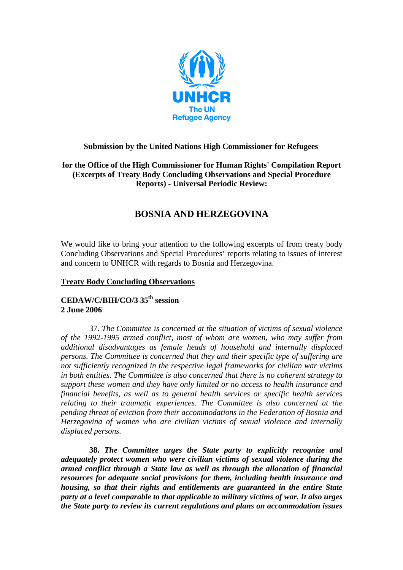

# **Submission by the United Nations High Commissioner for Refugees**

## **for the Office of the High Commissioner for Human Rights' Compilation Report (Excerpts of Treaty Body Concluding Observations and Special Procedure Reports) - Universal Periodic Review:**

# **BOSNIA AND HERZEGOVINA**

We would like to bring your attention to the following excerpts of from treaty body Concluding Observations and Special Procedures' reports relating to issues of interest and concern to UNHCR with regards to Bosnia and Herzegovina.

### **Treaty Body Concluding Observations**

# **CEDAW/C/BIH/CO/3 35th session 2 June 2006**

37. *The Committee is concerned at the situation of victims of sexual violence of the 1992-1995 armed conflict, most of whom are women, who may suffer from additional disadvantages as female heads of household and internally displaced persons. The Committee is concerned that they and their specific type of suffering are not sufficiently recognized in the respective legal frameworks for civilian war victims in both entities. The Committee is also concerned that there is no coherent strategy to support these women and they have only limited or no access to health insurance and financial benefits, as well as to general health services or specific health services relating to their traumatic experiences. The Committee is also concerned at the pending threat of eviction from their accommodations in the Federation of Bosnia and Herzegovina of women who are civilian victims of sexual violence and internally displaced persons.*

**38.** *The Committee urges the State party to explicitly recognize and adequately protect women who were civilian victims of sexual violence during the armed conflict through a State law as well as through the allocation of financial resources for adequate social provisions for them, including health insurance and housing, so that their rights and entitlements are guaranteed in the entire State party at a level comparable to that applicable to military victims of war. It also urges the State party to review its current regulations and plans on accommodation issues*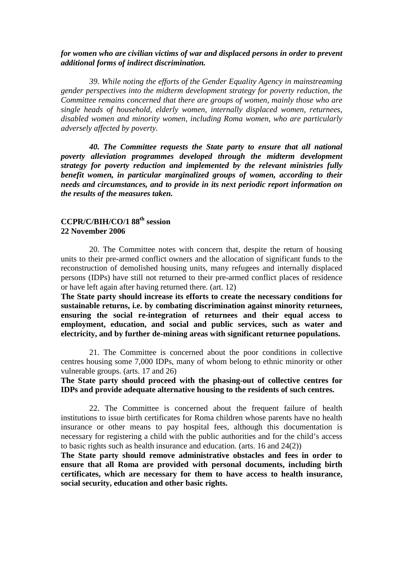#### *for women who are civilian victims of war and displaced persons in order to prevent additional forms of indirect discrimination.*

*39. While noting the efforts of the Gender Equality Agency in mainstreaming gender perspectives into the midterm development strategy for poverty reduction, the Committee remains concerned that there are groups of women, mainly those who are single heads of household, elderly women, internally displaced women, returnees, disabled women and minority women, including Roma women, who are particularly adversely affected by poverty.* 

*40. The Committee requests the State party to ensure that all national poverty alleviation programmes developed through the midterm development strategy for poverty reduction and implemented by the relevant ministries fully benefit women, in particular marginalized groups of women, according to their needs and circumstances, and to provide in its next periodic report information on the results of the measures taken.* 

## **CCPR/C/BIH/CO/1 88th session 22 November 2006**

20. The Committee notes with concern that, despite the return of housing units to their pre-armed conflict owners and the allocation of significant funds to the reconstruction of demolished housing units, many refugees and internally displaced persons (IDPs) have still not returned to their pre-armed conflict places of residence or have left again after having returned there. (art. 12)

**The State party should increase its efforts to create the necessary conditions for sustainable returns, i.e. by combating discrimination against minority returnees, ensuring the social re-integration of returnees and their equal access to employment, education, and social and public services, such as water and electricity, and by further de-mining areas with significant returnee populations.** 

21. The Committee is concerned about the poor conditions in collective centres housing some 7,000 IDPs, many of whom belong to ethnic minority or other vulnerable groups. (arts. 17 and 26)

## **The State party should proceed with the phasing-out of collective centres for IDPs and provide adequate alternative housing to the residents of such centres.**

22. The Committee is concerned about the frequent failure of health institutions to issue birth certificates for Roma children whose parents have no health insurance or other means to pay hospital fees, although this documentation is necessary for registering a child with the public authorities and for the child's access to basic rights such as health insurance and education. (arts. 16 and 24(2))

**The State party should remove administrative obstacles and fees in order to ensure that all Roma are provided with personal documents, including birth certificates, which are necessary for them to have access to health insurance, social security, education and other basic rights.**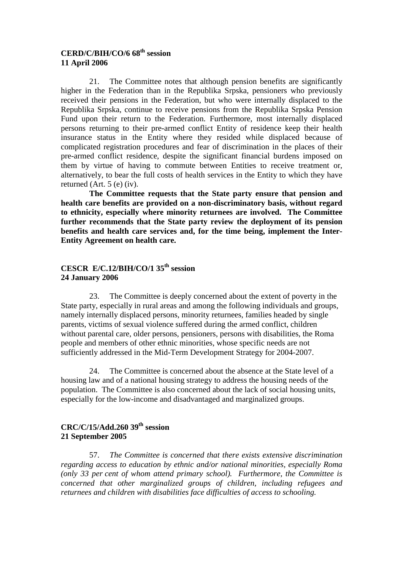## **CERD/C/BIH/CO/6 68th session 11 April 2006**

21. The Committee notes that although pension benefits are significantly higher in the Federation than in the Republika Srpska, pensioners who previously received their pensions in the Federation, but who were internally displaced to the Republika Srpska, continue to receive pensions from the Republika Srpska Pension Fund upon their return to the Federation. Furthermore, most internally displaced persons returning to their pre-armed conflict Entity of residence keep their health insurance status in the Entity where they resided while displaced because of complicated registration procedures and fear of discrimination in the places of their pre-armed conflict residence, despite the significant financial burdens imposed on them by virtue of having to commute between Entities to receive treatment or, alternatively, to bear the full costs of health services in the Entity to which they have returned (Art. 5 (e) (iv).

**The Committee requests that the State party ensure that pension and health care benefits are provided on a non-discriminatory basis, without regard to ethnicity, especially where minority returnees are involved. The Committee further recommends that the State party review the deployment of its pension benefits and health care services and, for the time being, implement the Inter-Entity Agreement on health care.** 

## **CESCR E/C.12/BIH/CO/1 35th session 24 January 2006**

23. The Committee is deeply concerned about the extent of poverty in the State party, especially in rural areas and among the following individuals and groups, namely internally displaced persons, minority returnees, families headed by single parents, victims of sexual violence suffered during the armed conflict, children without parental care, older persons, pensioners, persons with disabilities, the Roma people and members of other ethnic minorities, whose specific needs are not sufficiently addressed in the Mid-Term Development Strategy for 2004-2007.

24. The Committee is concerned about the absence at the State level of a housing law and of a national housing strategy to address the housing needs of the population. The Committee is also concerned about the lack of social housing units, especially for the low-income and disadvantaged and marginalized groups.

# **CRC/C/15/Add.260 39th session 21 September 2005**

57. *The Committee is concerned that there exists extensive discrimination regarding access to education by ethnic and/or national minorities, especially Roma (only 33 per cent of whom attend primary school). Furthermore, the Committee is concerned that other marginalized groups of children, including refugees and returnees and children with disabilities face difficulties of access to schooling.*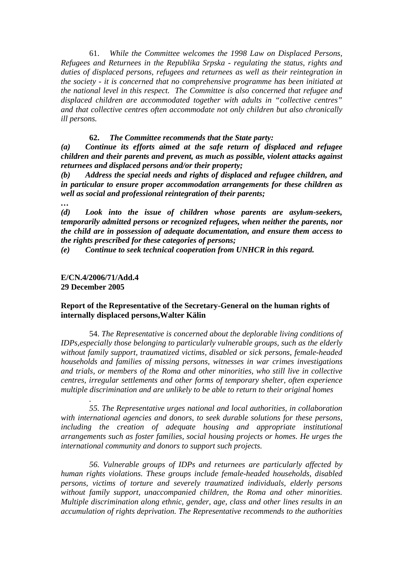61. *While the Committee welcomes the 1998 Law on Displaced Persons, Refugees and Returnees in the Republika Srpska - regulating the status, rights and duties of displaced persons, refugees and returnees as well as their reintegration in the society - it is concerned that no comprehensive programme has been initiated at the national level in this respect. The Committee is also concerned that refugee and displaced children are accommodated together with adults in "collective centres" and that collective centres often accommodate not only children but also chronically ill persons.*

#### **62.** *The Committee recommends that the State party:*

*(a) Continue its efforts aimed at the safe return of displaced and refugee children and their parents and prevent, as much as possible, violent attacks against returnees and displaced persons and/or their property;* 

*(b) Address the special needs and rights of displaced and refugee children, and in particular to ensure proper accommodation arrangements for these children as well as social and professional reintegration of their parents;* 

*…* 

*(d) Look into the issue of children whose parents are asylum-seekers, temporarily admitted persons or recognized refugees, when neither the parents, nor the child are in possession of adequate documentation, and ensure them access to the rights prescribed for these categories of persons;* 

*(e) Continue to seek technical cooperation from UNHCR in this regard.* 

#### **E/CN.4/2006/71/Add.4 29 December 2005**

*.* 

#### **Report of the Representative of the Secretary-General on the human rights of internally displaced persons,Walter Kälin**

54. *The Representative is concerned about the deplorable living conditions of IDPs,especially those belonging to particularly vulnerable groups, such as the elderly without family support, traumatized victims, disabled or sick persons, female-headed households and families of missing persons, witnesses in war crimes investigations and trials, or members of the Roma and other minorities, who still live in collective centres, irregular settlements and other forms of temporary shelter, often experience multiple discrimination and are unlikely to be able to return to their original homes* 

*55. The Representative urges national and local authorities, in collaboration with international agencies and donors, to seek durable solutions for these persons, including the creation of adequate housing and appropriate institutional arrangements such as foster families, social housing projects or homes. He urges the international community and donors to support such projects.* 

*56. Vulnerable groups of IDPs and returnees are particularly affected by human rights violations. These groups include female-headed households, disabled persons, victims of torture and severely traumatized individuals, elderly persons without family support, unaccompanied children, the Roma and other minorities. Multiple discrimination along ethnic, gender, age, class and other lines results in an accumulation of rights deprivation. The Representative recommends to the authorities*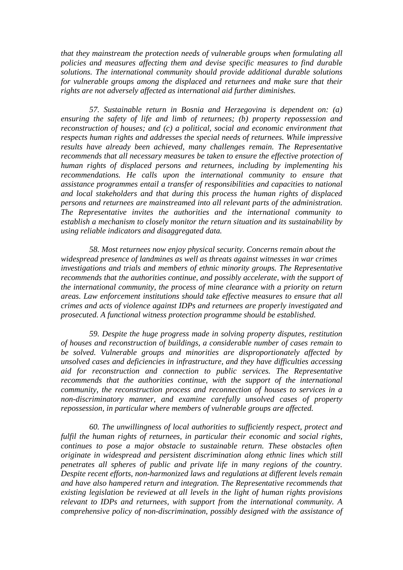*that they mainstream the protection needs of vulnerable groups when formulating all policies and measures affecting them and devise specific measures to find durable solutions. The international community should provide additional durable solutions for vulnerable groups among the displaced and returnees and make sure that their rights are not adversely affected as international aid further diminishes.* 

*57. Sustainable return in Bosnia and Herzegovina is dependent on: (a) ensuring the safety of life and limb of returnees; (b) property repossession and reconstruction of houses; and (c) a political, social and economic environment that respects human rights and addresses the special needs of returnees. While impressive results have already been achieved, many challenges remain. The Representative recommends that all necessary measures be taken to ensure the effective protection of human rights of displaced persons and returnees, including by implementing his recommendations. He calls upon the international community to ensure that assistance programmes entail a transfer of responsibilities and capacities to national and local stakeholders and that during this process the human rights of displaced persons and returnees are mainstreamed into all relevant parts of the administration. The Representative invites the authorities and the international community to establish a mechanism to closely monitor the return situation and its sustainability by using reliable indicators and disaggregated data.* 

*58. Most returnees now enjoy physical security. Concerns remain about the widespread presence of landmines as well as threats against witnesses in war crimes investigations and trials and members of ethnic minority groups. The Representative recommends that the authorities continue, and possibly accelerate, with the support of the international community, the process of mine clearance with a priority on return areas. Law enforcement institutions should take effective measures to ensure that all crimes and acts of violence against IDPs and returnees are properly investigated and prosecuted. A functional witness protection programme should be established.* 

*59. Despite the huge progress made in solving property disputes, restitution of houses and reconstruction of buildings, a considerable number of cases remain to be solved. Vulnerable groups and minorities are disproportionately affected by unsolved cases and deficiencies in infrastructure, and they have difficulties accessing aid for reconstruction and connection to public services. The Representative recommends that the authorities continue, with the support of the international community, the reconstruction process and reconnection of houses to services in a non-discriminatory manner, and examine carefully unsolved cases of property repossession, in particular where members of vulnerable groups are affected.* 

*60. The unwillingness of local authorities to sufficiently respect, protect and fulfil the human rights of returnees, in particular their economic and social rights, continues to pose a major obstacle to sustainable return. These obstacles often originate in widespread and persistent discrimination along ethnic lines which still penetrates all spheres of public and private life in many regions of the country. Despite recent efforts, non-harmonized laws and regulations at different levels remain and have also hampered return and integration. The Representative recommends that existing legislation be reviewed at all levels in the light of human rights provisions relevant to IDPs and returnees, with support from the international community. A comprehensive policy of non-discrimination, possibly designed with the assistance of*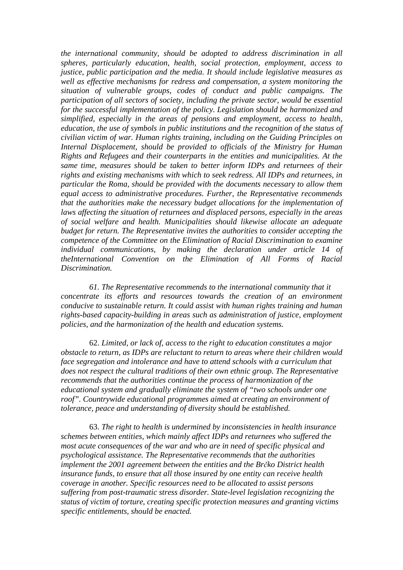*the international community, should be adopted to address discrimination in all spheres, particularly education, health, social protection, employment, access to justice, public participation and the media. It should include legislative measures as well as effective mechanisms for redress and compensation, a system monitoring the situation of vulnerable groups, codes of conduct and public campaigns. The participation of all sectors of society, including the private sector, would be essential for the successful implementation of the policy. Legislation should be harmonized and simplified, especially in the areas of pensions and employment, access to health, education, the use of symbols in public institutions and the recognition of the status of civilian victim of war. Human rights training, including on the Guiding Principles on Internal Displacement, should be provided to officials of the Ministry for Human Rights and Refugees and their counterparts in the entities and municipalities. At the same time, measures should be taken to better inform IDPs and returnees of their rights and existing mechanisms with which to seek redress. All IDPs and returnees, in particular the Roma, should be provided with the documents necessary to allow them equal access to administrative procedures. Further, the Representative recommends that the authorities make the necessary budget allocations for the implementation of laws affecting the situation of returnees and displaced persons, especially in the areas of social welfare and health. Municipalities should likewise allocate an adequate budget for return. The Representative invites the authorities to consider accepting the competence of the Committee on the Elimination of Racial Discrimination to examine individual communications, by making the declaration under article 14 of theInternational Convention on the Elimination of All Forms of Racial Discrimination.* 

*61. The Representative recommends to the international community that it concentrate its efforts and resources towards the creation of an environment conducive to sustainable return. It could assist with human rights training and human rights-based capacity-building in areas such as administration of justice, employment policies, and the harmonization of the health and education systems.* 

62. *Limited, or lack of, access to the right to education constitutes a major obstacle to return, as IDPs are reluctant to return to areas where their children would face segregation and intolerance and have to attend schools with a curriculum that does not respect the cultural traditions of their own ethnic group. The Representative recommends that the authorities continue the process of harmonization of the educational system and gradually eliminate the system of "two schools under one roof". Countrywide educational programmes aimed at creating an environment of tolerance, peace and understanding of diversity should be established.* 

63. *The right to health is undermined by inconsistencies in health insurance schemes between entities, which mainly affect IDPs and returnees who suffered the most acute consequences of the war and who are in need of specific physical and psychological assistance. The Representative recommends that the authorities implement the 2001 agreement between the entities and the Br*č*ko District health insurance funds, to ensure that all those insured by one entity can receive health coverage in another. Specific resources need to be allocated to assist persons suffering from post-traumatic stress disorder. State-level legislation recognizing the status of victim of torture, creating specific protection measures and granting victims specific entitlements, should be enacted.*